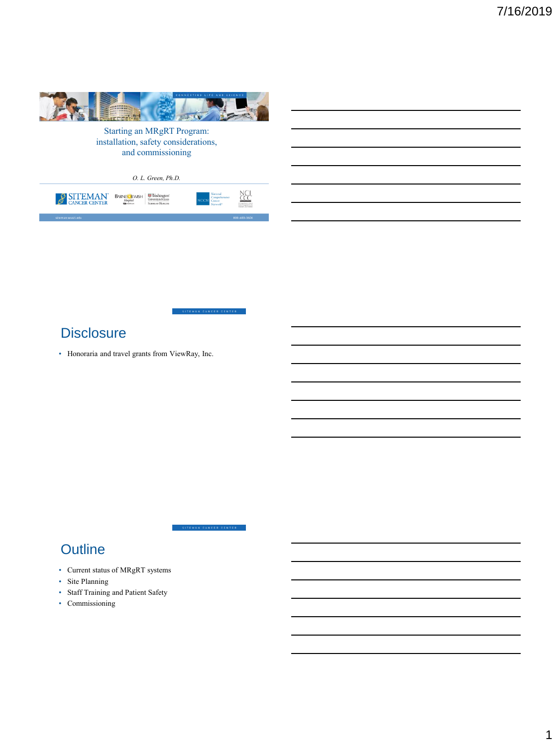

Starting an MRgRT Program: installation, safety considerations, and commissioning

|                    | O. L. Green, Ph.D.                                                           |                                                    |                     |
|--------------------|------------------------------------------------------------------------------|----------------------------------------------------|---------------------|
| SITEMAN            | Washington'<br>University in St.Louis<br>BARNES FEWISH<br>SCHOOL OF MEDICINE | National<br>Comprehensive<br>Negative <sup>1</sup> | NC.                 |
| altoman unati odu. |                                                                              |                                                    | <b>900 (00 210)</b> |

EMAN CANCER CENTER

SITEMAN CANCER CENTER

# **Disclosure**

• Honoraria and travel grants from ViewRay, Inc.

# **Outline**

- Current status of MRgRT systems
- Site Planning
- Staff Training and Patient Safety
- Commissioning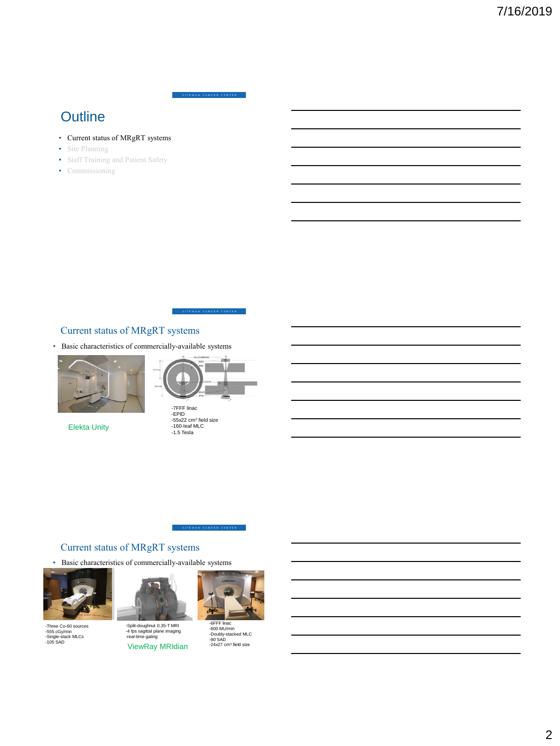ITEMAN CANCER CENTER

# **Outline**

- Current status of MRgRT systems
- Site Planning
- Staff Training and Patient Safety
- Commissioning

ITEMAN CANCER CENTER

# Current status of MRgRT systems

• Basic characteristics of commercially-available systems



Elekta Unity



-7FFF linac -EPID -55x22 cm<sup>2</sup> field size -160-leaf MLC -1.5 Tesla

#### SITEMAN CANCER CENTER

# Current status of MRgRT systems

• Basic characteristics of commercially-available systems



-Three Co-60 sources -555 cGy/min -Single-stack MLCs -105 SAD



-Split-doughnut 0.35-T MRI -4 fps sagittal plane imaging -real-time gating ViewRay MRIdian



-6FFF linac -600 MU/min -Doubly-stacked MLC -90 SAD -24x27 cm<sup>2</sup>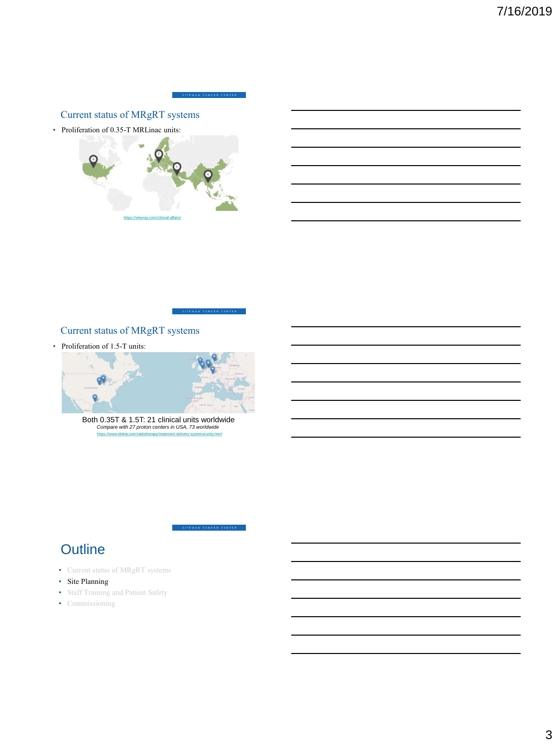

# Current status of MRgRT systems

• Proliferation of 0.35-T MRLinac units:



ITEMAN CANCER CENTER

SITEMAN CANCER CENTER

# Current status of MRgRT systems

• Proliferation of 1.5-T units:



<https://www.elekta.com/radiotherapy/treatment-delivery-systems/unity.html> Both 0.35T & 1.5T: 21 clinical units worldwide *Compare with 27 proton centers in USA, 73 worldwide*

# **Outline**

- Current status of MRgRT systems
- Site Planning
- Staff Training and Patient Safety
- Commissioning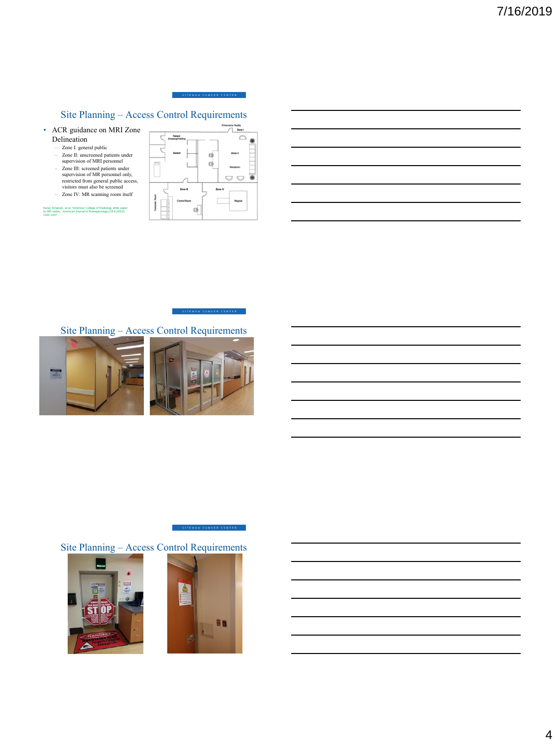

# Site Planning – Access Control Requirements

- ACR guidance on MRI Zone Delineation
	- Zone I: general public Zone II: unscreened patients under supervision of MRI personnel
	-
	- Zone III: screened patients under supervision of MR personnel only, restricted from general public access, visitors must also be screened – Zone IV: MR scanning room itself

Kanal, Emanuel, et al. "American College of Radiology white paper on MR safety." *American Journal of Roentgenology*178.6 (2002): 1335-1347.



SITEMAN CANCER CENTER

# Site Planning – Access Control Requirements



Site Planning – Access Control Requirements





SITEMAN CANCER CENTER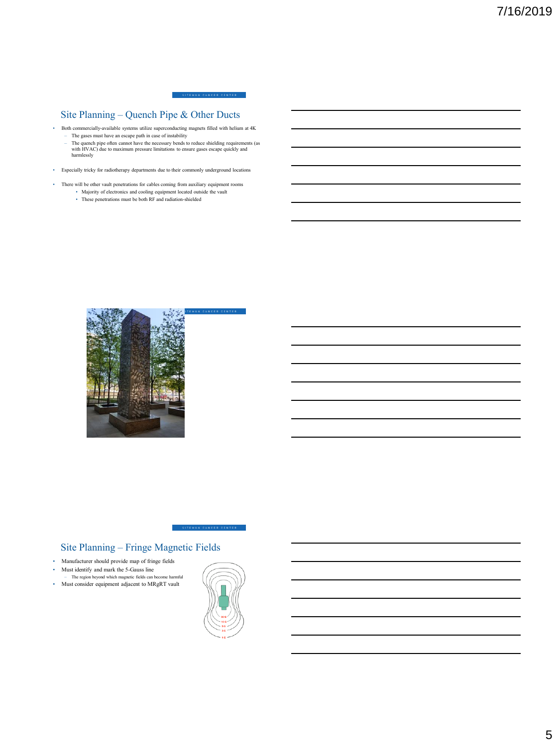.<br>Teman Cancer Center

# Site Planning – Quench Pipe & Other Ducts

- Both commercially-available systems utilize superconducting magnets filled with helium at 4K
	- The gases must have an escape path in case of instability<br>- The quench pipe often cannot have the necessary bends to reduce shielding requirements (as<br>with HVAC) due to maximum pressure limitations to ensure gases escape
- Especially tricky for radiotherapy departments due to their commonly underground locations
- There will be other vault penetrations for cables coming from auxiliary equipment rooms • Majority of electronics and cooling equipment located outside the vault
	- These penetrations must be both RF and radiation-shielded



# Site Planning – Fringe Magnetic Fields

- Manufacturer should provide map of fringe fields
- Must identify and mark the 5-Gauss line
- The region beyond which magnetic fields can become harmful • Must consider equipment adjacent to MRgRT vault
- 



SITEMAN CANCER CENTER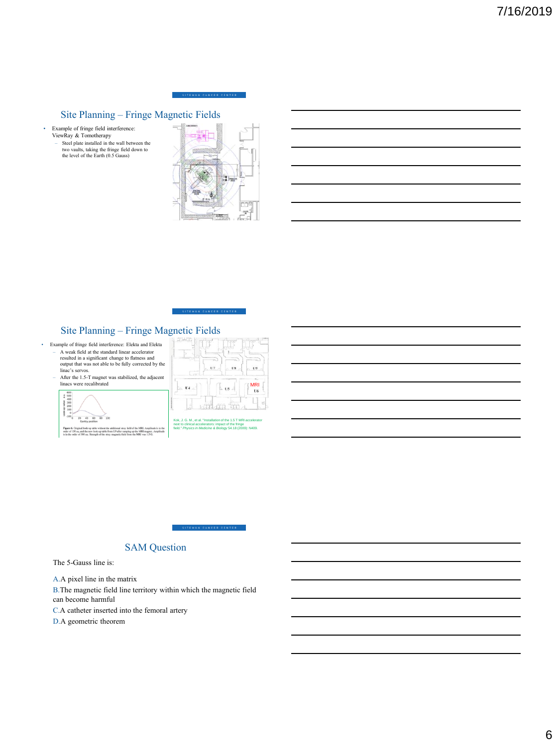#### .<br>EMAN CANCER CENTER

# Site Planning – Fringe Magnetic Fields

- Example of fringe field interference:<br>
ViewRay & Tomotherapy<br>
 Steel plate installed in the wall between the<br>
two vaults, taking the fringe field down to<br>
the level of the Earth (0.5 Gauss)
	-



# Site Planning – Fringe Magnetic Fields<br>
mple of finge field interference: Elekta and Elekta

- Example of fringe field interference: Elekta and Elekta<br>- A weak field at the standard linear accelerator<br>resulted in a significant change to flatness and<br>output that was not able to be fully corrected by the<br>linac's ser
	- After the 1.5-T magnet was stabilized, the adjacent linacs were recalibrated

500<br>300<br>200<br>100<br>0  $20 - 40$  $60 80$ 

|         |     | n   |           |
|---------|-----|-----|-----------|
| ĸ       | U7. | U8  | U9        |
| U4<br>× | v.  | U5  | MRI<br>U6 |
|         |     | Yv. |           |

**LOT** 

.<br>TEMAN CANCER CENTE

Kok, J. G. M., et al. "Installation of the 1.5 T MRI accelerator next to clinical accelerators: impact of the fringe fors: impact of the fri<mark>r</mark><br>ne & *Biology* 54.18 (2



# SAM Question

The 5-Gauss line is:

A.A pixel line in the matrix

B.The magnetic field line territory within which the magnetic field can become harmful

C.A catheter inserted into the femoral artery

D.A geometric theorem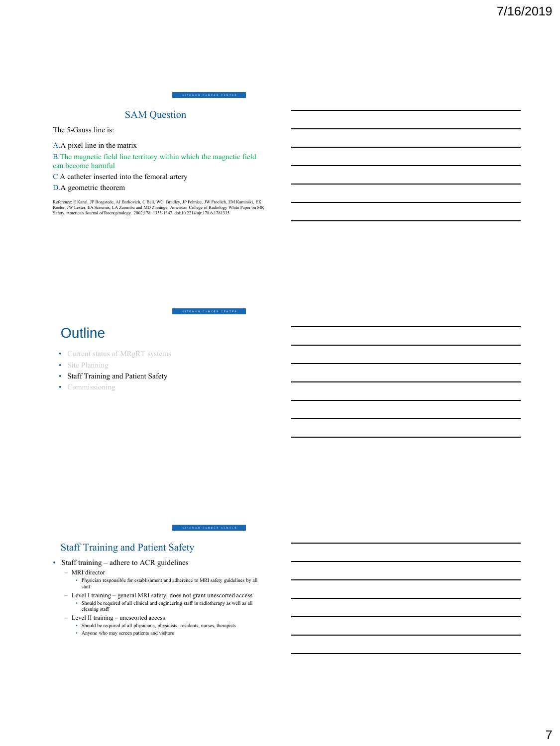.<br>Teman Cancer Center

### SAM Question

The 5-Gauss line is:

A.A pixel line in the matrix

B.The magnetic field line territory within which the magnetic field can become harmful

C.A catheter inserted into the femoral artery

#### D.A geometric theorem

Reference: E Kanal, JP Borgstede, AJ Barkovich, C Bell, WG. Bradley, JP Felmlee, JW Froelich, EM Kaminski, EK<br>Keeler, JW Lester, EA Scoumis, LA Zaremba and MD Zinninge, American College of Radiology White Paper on MR<br>Safet

.<br>EMAN CANCER CENTER

SITEMAN CANCER CENTER

# **Outline**

- Current status of MRgRT systems
- Site Planning
- Staff Training and Patient Safety
- Commissioning

# Staff Training and Patient Safety

• Staff training – adhere to ACR guidelines

#### – MRI director

- Physician responsible for establishment and adherence to MRI safety guidelines by all staff
- $-$  Level I training  $-$  general MRI safety, does not grant unescorted access • Should be required of all clinical and engineering staff in radiotherapy as well as all cleaning staff
- Level II training unescorted access
	- Should be required of all physicians, physicists, residents, nurses, therapists Anyone who may screen patients and visitors
	-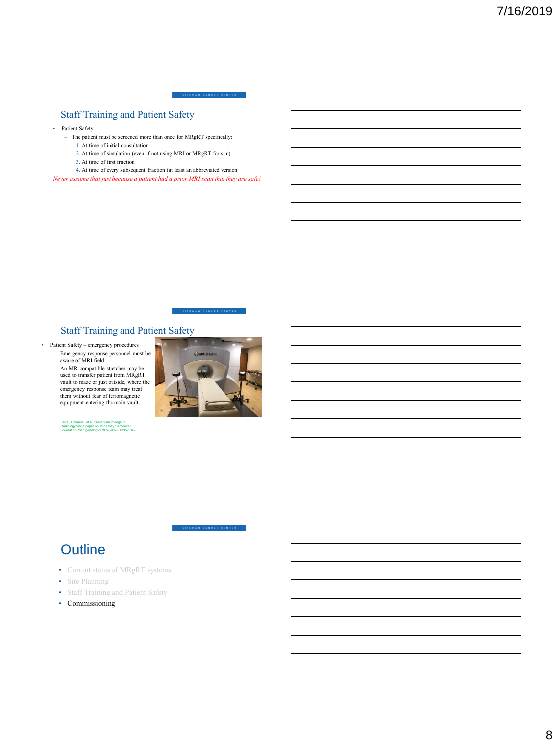#### .<br>IEMAN CANCER CENTER

### Staff Training and Patient Safety

- Patient Safety
	- The patient must be screened more than once for MRgRT specifically:
		- 1. At time of initial consultation 2. At time of simulation (even if not using MRI or MRgRT for sim)
		- 3. At time of first fraction
		-
	- 4. At time of every subsequent fraction (at least an abbreviated version

*Never assume that just because a patient had a prior MRI scan that they are safe!*



### Staff Training and Patient Safety

- Patient Safety emergency procedures – Emergency response personnel must be aware of MRI field
	- An MR-compatible stretcher may be used to transfer patient from MRgRT vault to maze or just outside, where the emergency response team may treat them without fear of ferromagnetic equipment entering the main vault



#### SITEMAN CANCER CENTER

# **Outline**

- Current status of MRgRT systems
- Site Planning
- Staff Training and Patient Safety
- Commissioning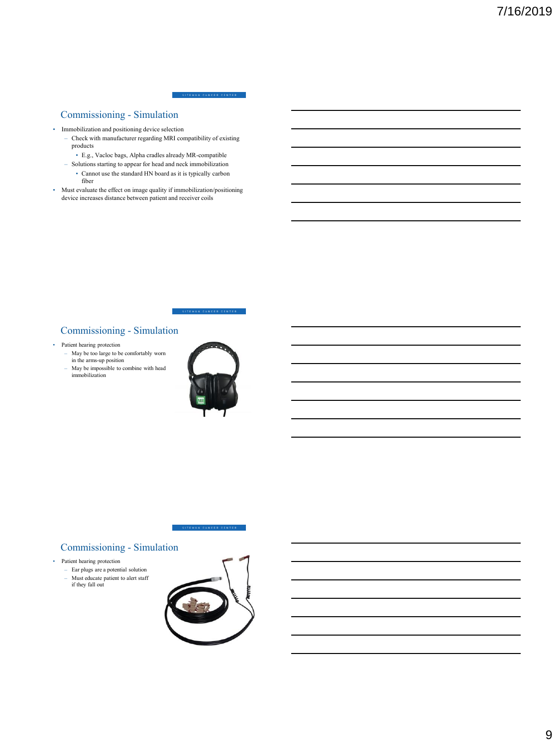#### EMAN CANCER CENTER

### Commissioning - Simulation

- Immobilization and positioning device selection
	- Check with manufacturer regarding MRI compatibility of existing products
		- E.g., Vacloc bags, Alpha cradles already MR-compatible
	- Solutions starting to appear for head and neck immobilization • Cannot use the standard HN board as it is typically carbon
		- fiber
- Must evaluate the effect on image quality if immobilization/positioning device increases distance between patient and receiver coils



### Commissioning - Simulation

- Patient hearing protection
	- May be too large to be comfortably worn in the arms-up position
	- May be impossible to combine with head immobilization



# SITEMAN CANCER CENTER

# Commissioning - Simulation

- Patient hearing protection
	- Ear plugs are a potential solution – Must educate patient to alert staff if they fall out
	-

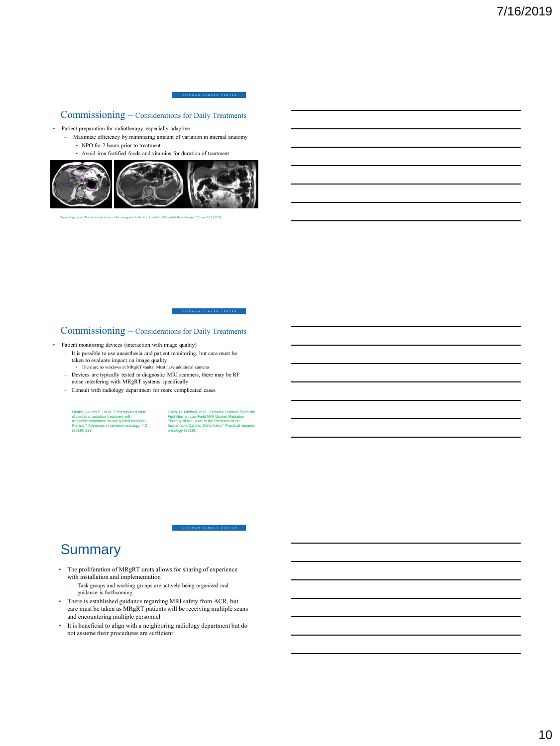.<br>Teman Cancer Center

### Commissioning – Considerations for Daily Treatments

- Patient preparation for radiotherapy, especially adaptive
	- Maximize efficiency by minimizing amount of variation in internal anatomy • NPO for 2 hours prior to treatment
		- Avoid iron fortified foods and vitamins for duration of treatment



Green, Olga, et al. "Practical Implications of Ferromagnetic Artifacts in Low-field MRI-guided Radiotherapy." *Cureus* 10.3 (2018).

#### Commissioning – Considerations for Daily Treatments

- Patient monitoring devices (interaction with image quality)
	- It is possible to use anaesthesia and patient monitoring, but care must be taken to evaluate impact on image quality
	- There are no windows in MRgRT vaults! Must have additional cameras – Devices are typically tested in diagnostic MRI scanners, there may be RF
	- noise interfering with MRgRT systems specifically
	- Consult with radiology department for more complicated cases

Henke, Lauren E., et al. "First reported case<br>of pediatric radiation treatment with<br>magnetic resonance image guided radiation<br>therapy." *Advances in radiation oncology* 4.2<br>(2019): 233.

Gach, H. Michael, et al. "Lessons Learned From the<br>First Human Low-Field MRI Guided Radiation<br>Therapy of the Heart in the Presence of an<br>Implantable Cardiac Defibrillator." *Practical radiation*<br>Implantable Cardiac Defibri

.<br>Teman cancer center

# **Summary**

- The proliferation of MRgRT units allows for sharing of experience with installation and implementation
	- Task groups and working groups are actively being organized and guidance is forthcoming
- There is established guidance regarding MRI safety from ACR, but care must be taken as MRgRT patients will be receiving multiple scans and encountering multiple personnel
- It is beneficial to align with a neighboring radiology department but do not assume their procedures are sufficient